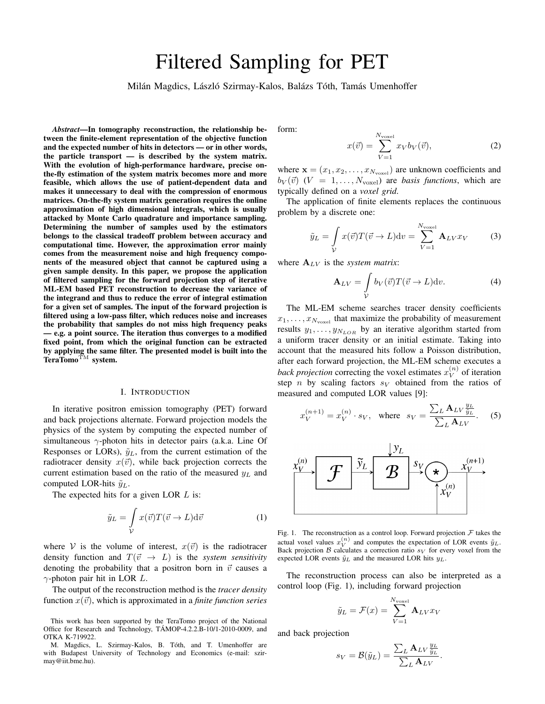# Filtered Sampling for PET

Milán Magdics, László Szirmay-Kalos, Balázs Tóth, Tamás Umenhoffer

*Abstract*—In tomography reconstruction, the relationship between the finite-element representation of the objective function and the expected number of hits in detectors — or in other words, the particle transport — is described by the system matrix. With the evolution of high-performance hardware, precise onthe-fly estimation of the system matrix becomes more and more feasible, which allows the use of patient-dependent data and makes it unnecessary to deal with the compression of enormous matrices. On-the-fly system matrix generation requires the online approximation of high dimensional integrals, which is usually attacked by Monte Carlo quadrature and importance sampling. Determining the number of samples used by the estimators belongs to the classical tradeoff problem between accuracy and computational time. However, the approximation error mainly comes from the measurement noise and high frequency components of the measured object that cannot be captured using a given sample density. In this paper, we propose the application of filtered sampling for the forward projection step of iterative ML-EM based PET reconstruction to decrease the variance of the integrand and thus to reduce the error of integral estimation for a given set of samples. The input of the forward projection is filtered using a low-pass filter, which reduces noise and increases the probability that samples do not miss high frequency peaks — e.g. a point source. The iteration thus converges to a modified fixed point, from which the original function can be extracted by applying the same filter. The presented model is built into the TeraTomo<sup>TM</sup> system.

## I. INTRODUCTION

In iterative positron emission tomography (PET) forward and back projections alternate. Forward projection models the physics of the system by computing the expected number of simultaneous *γ*-photon hits in detector pairs (a.k.a. Line Of Responses or LORs),  $\tilde{y}_L$ , from the current estimation of the radiotracer density  $x(\vec{v})$ , while back projection corrects the current estimation based on the ratio of the measured *y<sup>L</sup>* and computed LOR-hits  $\tilde{y}_L$ .

The expected hits for a given LOR *L* is:

$$
\tilde{y}_L = \int\limits_{\mathcal{V}} x(\vec{v}) T(\vec{v} \to L) d\vec{v} \tag{1}
$$

where *V* is the volume of interest,  $x(\vec{v})$  is the radiotracer density function and  $T(\vec{v} \rightarrow L)$  is the *system sensitivity* denoting the probability that a positron born in  $\vec{v}$  causes a *γ*-photon pair hit in LOR *L*.

The output of the reconstruction method is the *tracer density* function  $x(\vec{v})$ , which is approximated in a *finite function series* 

This work has been supported by the TeraTomo project of the National Office for Research and Technology, TÁMOP-4.2.2.B-10/1-2010-0009, and OTKA K-719922.

M. Magdics, L. Szirmay-Kalos, B. Toth, and T. Umenhoffer are ´ with Budapest University of Technology and Economics (e-mail: szirmay@iit.bme.hu).

form:

$$
x(\vec{v}) = \sum_{V=1}^{N_{\text{voxel}}} x_V b_V(\vec{v}), \tag{2}
$$

where  $\mathbf{x} = (x_1, x_2, \dots, x_{N_{\text{voxel}}})$  are unknown coefficients and  $b_V(\vec{v})$  (*V* = 1, ...,  $N_{\text{voxel}}$ ) are *basis functions*, which are typically defined on a *voxel grid*.

The application of finite elements replaces the continuous problem by a discrete one:

$$
\tilde{y}_L = \int\limits_V x(\vec{v}) T(\vec{v} \to L) dv = \sum_{V=1}^{N_{\text{voxel}}} \mathbf{A}_{LV} x_V \tag{3}
$$

where  $A_{LV}$  is the *system matrix*:

$$
\mathbf{A}_{LV} = \int\limits_{V} b_V(\vec{v}) T(\vec{v} \to L) \mathrm{d}v. \tag{4}
$$

The ML-EM scheme searches tracer density coefficients  $x_1, \ldots, x_{N_{\text{voxel}}}$  that maximize the probability of measurement results  $y_1, \ldots, y_{N_{LOR}}$  by an iterative algorithm started from a uniform tracer density or an initial estimate. Taking into account that the measured hits follow a Poisson distribution, after each forward projection, the ML-EM scheme executes a *back projection* correcting the voxel estimates  $x_V^{(n)}$  $V^{(n)}$  of iteration step *n* by scaling factors  $s_V$  obtained from the ratios of measured and computed LOR values [9]:

$$
x_V^{(n+1)} = x_V^{(n)} \cdot s_V, \quad \text{where} \quad s_V = \frac{\sum_L \mathbf{A}_{LV} \frac{y_L}{\tilde{y}_L}}{\sum_L \mathbf{A}_{LV}}. \tag{5}
$$



Fig. 1. The reconstruction as a control loop. Forward projection *F* takes the actual voxel values  $x_V^{(n)}$  and computes the expectation of LOR events  $\tilde{y}_L$ . Back projection *B* calculates a correction ratio  $s_V$  for every voxel from the expected LOR events  $\tilde{y}_L$  and the measured LOR hits  $y_L$ .

The reconstruction process can also be interpreted as a control loop (Fig. 1), including forward projection

$$
\tilde{y}_L = \mathcal{F}(x) = \sum_{V=1}^{N_{\rm voxel}} \mathbf{A}_{LV} x_V
$$

and back projection

$$
s_V = \mathcal{B}(\tilde{y}_L) = \frac{\sum_L \mathbf{A}_{LV} \frac{y_L}{\tilde{y}_L}}{\sum_L \mathbf{A}_{LV}}
$$

*.*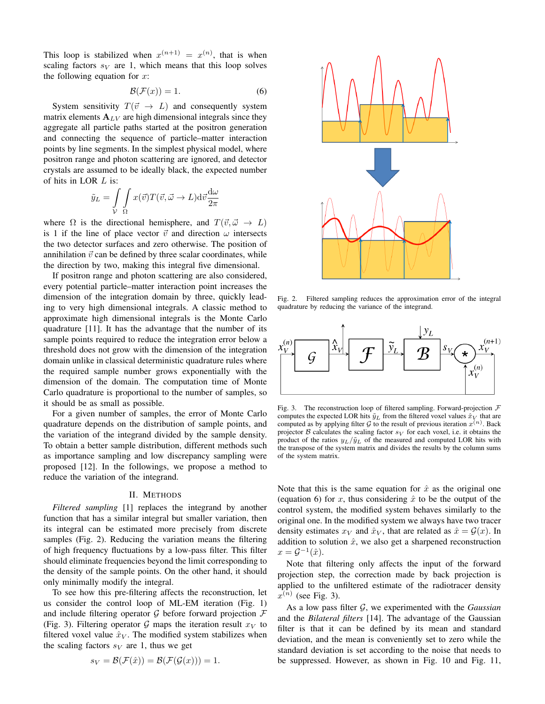This loop is stabilized when  $x^{(n+1)} = x^{(n)}$ , that is when scaling factors  $s_V$  are 1, which means that this loop solves the following equation for *x*:

$$
\mathcal{B}(\mathcal{F}(x)) = 1.
$$
 (6)

System sensitivity  $T(\vec{v} \rightarrow L)$  and consequently system matrix elements  $A_{LV}$  are high dimensional integrals since they aggregate all particle paths started at the positron generation and connecting the sequence of particle–matter interaction points by line segments. In the simplest physical model, where positron range and photon scattering are ignored, and detector crystals are assumed to be ideally black, the expected number of hits in LOR *L* is:

$$
\tilde{y}_L = \int\limits_{\mathcal{V}} \int\limits_{\Omega} x(\vec{v}) T(\vec{v}, \vec{\omega} \to L) \mathrm{d}\vec{v} \frac{\mathrm{d}\omega}{2\pi}
$$

where  $\Omega$  is the directional hemisphere, and  $T(\vec{v}, \vec{\omega} \rightarrow L)$ is 1 if the line of place vector  $\vec{v}$  and direction  $\omega$  intersects the two detector surfaces and zero otherwise. The position of annihilation  $\vec{v}$  can be defined by three scalar coordinates, while the direction by two, making this integral five dimensional.

If positron range and photon scattering are also considered, every potential particle–matter interaction point increases the dimension of the integration domain by three, quickly leading to very high dimensional integrals. A classic method to approximate high dimensional integrals is the Monte Carlo quadrature [11]. It has the advantage that the number of its sample points required to reduce the integration error below a threshold does not grow with the dimension of the integration domain unlike in classical deterministic quadrature rules where the required sample number grows exponentially with the dimension of the domain. The computation time of Monte Carlo quadrature is proportional to the number of samples, so it should be as small as possible.

For a given number of samples, the error of Monte Carlo quadrature depends on the distribution of sample points, and the variation of the integrand divided by the sample density. To obtain a better sample distribution, different methods such as importance sampling and low discrepancy sampling were proposed [12]. In the followings, we propose a method to reduce the variation of the integrand.

#### II. METHODS

*Filtered sampling* [1] replaces the integrand by another function that has a similar integral but smaller variation, then its integral can be estimated more precisely from discrete samples (Fig. 2). Reducing the variation means the filtering of high frequency fluctuations by a low-pass filter. This filter should eliminate frequencies beyond the limit corresponding to the density of the sample points. On the other hand, it should only minimally modify the integral.

To see how this pre-filtering affects the reconstruction, let us consider the control loop of ML-EM iteration (Fig. 1) and include filtering operator *G* before forward projection *F* (Fig. 3). Filtering operator  $G$  maps the iteration result  $x_V$  to filtered voxel value  $\hat{x}_V$ . The modified system stabilizes when the scaling factors  $s_V$  are 1, thus we get

$$
s_V = \mathcal{B}(\mathcal{F}(\hat{x})) = \mathcal{B}(\mathcal{F}(\mathcal{G}(x))) = 1.
$$



Fig. 2. Filtered sampling reduces the approximation error of the integral quadrature by reducing the variance of the integrand.



Fig. 3. The reconstruction loop of filtered sampling. Forward-projection *F* computes the expected LOR hits  $\tilde{y}_L$  from the filtered voxel values  $\hat{x}_V$  that are computed as by applying filter  $G$  to the result of previous iteration  $x^{(n)}$ . Back projector *B* calculates the scaling factor  $s_V$  for each voxel, i.e. it obtains the product of the ratios  $y_L/\tilde{y}_L$  of the measured and computed LOR hits with the transpose of the system matrix and divides the results by the column sums of the system matrix.

Note that this is the same equation for  $\hat{x}$  as the original one (equation 6) for *x*, thus considering  $\hat{x}$  to be the output of the control system, the modified system behaves similarly to the original one. In the modified system we always have two tracer density estimates  $x_V$  and  $\hat{x}_V$ , that are related as  $\hat{x} = \mathcal{G}(x)$ . In addition to solution  $\hat{x}$ , we also get a sharpened reconstruction  $x = G^{-1}(\hat{x})$ .

Note that filtering only affects the input of the forward projection step, the correction made by back projection is applied to the unfiltered estimate of the radiotracer density  $x^{(n)}$  (see Fig. 3).

As a low pass filter *G*, we experimented with the *Gaussian* and the *Bilateral filters* [14]. The advantage of the Gaussian filter is that it can be defined by its mean and standard deviation, and the mean is conveniently set to zero while the standard deviation is set according to the noise that needs to be suppressed. However, as shown in Fig. 10 and Fig. 11,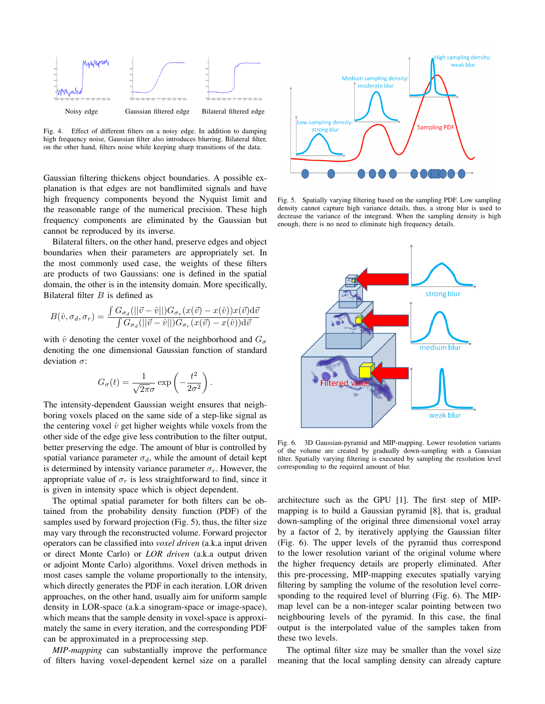

Fig. 4. Effect of different filters on a noisy edge. In addition to damping high frequency noise, Gaussian filter also introduces blurring. Bilateral filter, on the other hand, filters noise while keeping sharp transitions of the data.

Gaussian filtering thickens object boundaries. A possible explanation is that edges are not bandlimited signals and have high frequency components beyond the Nyquist limit and the reasonable range of the numerical precision. These high frequency components are eliminated by the Gaussian but cannot be reproduced by its inverse.

Bilateral filters, on the other hand, preserve edges and object boundaries when their parameters are appropriately set. In the most commonly used case, the weights of these filters are products of two Gaussians: one is defined in the spatial domain, the other is in the intensity domain. More specifically, Bilateral filter *B* is defined as

$$
B(\hat{v}, \sigma_d, \sigma_r) = \frac{\int G_{\sigma_d}(||\vec{v} - \hat{v}||)G_{\sigma_r}(x(\vec{v}) - x(\hat{v}))x(\vec{v})d\vec{v}}{\int G_{\sigma_d}(||\vec{v} - \hat{v}||)G_{\sigma_r}(x(\vec{v}) - x(\hat{v}))d\vec{v}}
$$

with  $\hat{v}$  denoting the center voxel of the neighborhood and  $G_{\sigma}$ denoting the one dimensional Gaussian function of standard deviation *σ*:

$$
G_{\sigma}(t) = \frac{1}{\sqrt{2\pi}\sigma} \exp\left(-\frac{t^2}{2\sigma^2}\right).
$$

The intensity-dependent Gaussian weight ensures that neighboring voxels placed on the same side of a step-like signal as the centering voxel  $\hat{v}$  get higher weights while voxels from the other side of the edge give less contribution to the filter output, better preserving the edge. The amount of blur is controlled by spatial variance parameter  $\sigma_d$ , while the amount of detail kept is determined by intensity variance parameter  $\sigma_r$ . However, the appropriate value of  $\sigma_r$  is less straightforward to find, since it is given in intensity space which is object dependent.

The optimal spatial parameter for both filters can be obtained from the probability density function (PDF) of the samples used by forward projection (Fig. 5), thus, the filter size may vary through the reconstructed volume. Forward projector operators can be classified into *voxel driven* (a.k.a input driven or direct Monte Carlo) or *LOR driven* (a.k.a output driven or adjoint Monte Carlo) algorithms. Voxel driven methods in most cases sample the volume proportionally to the intensity, which directly generates the PDF in each iteration. LOR driven approaches, on the other hand, usually aim for uniform sample density in LOR-space (a.k.a sinogram-space or image-space), which means that the sample density in voxel-space is approximately the same in every iteration, and the corresponding PDF can be approximated in a preprocessing step.

*MIP-mapping* can substantially improve the performance of filters having voxel-dependent kernel size on a parallel



Fig. 5. Spatially varying filtering based on the sampling PDF. Low sampling density cannot capture high variance details, thus, a strong blur is used to decrease the variance of the integrand. When the sampling density is high enough, there is no need to eliminate high frequency details.



Fig. 6. 3D Gaussian-pyramid and MIP-mapping. Lower resolution variants of the volume are created by gradually down-sampling with a Gaussian filter. Spatially varying filtering is executed by sampling the resolution level corresponding to the required amount of blur.

architecture such as the GPU [1]. The first step of MIPmapping is to build a Gaussian pyramid [8], that is, gradual down-sampling of the original three dimensional voxel array by a factor of 2, by iteratively applying the Gaussian filter (Fig. 6). The upper levels of the pyramid thus correspond to the lower resolution variant of the original volume where the higher frequency details are properly eliminated. After this pre-processing, MIP-mapping executes spatially varying filtering by sampling the volume of the resolution level corresponding to the required level of blurring (Fig. 6). The MIPmap level can be a non-integer scalar pointing between two neighbouring levels of the pyramid. In this case, the final output is the interpolated value of the samples taken from these two levels.

The optimal filter size may be smaller than the voxel size meaning that the local sampling density can already capture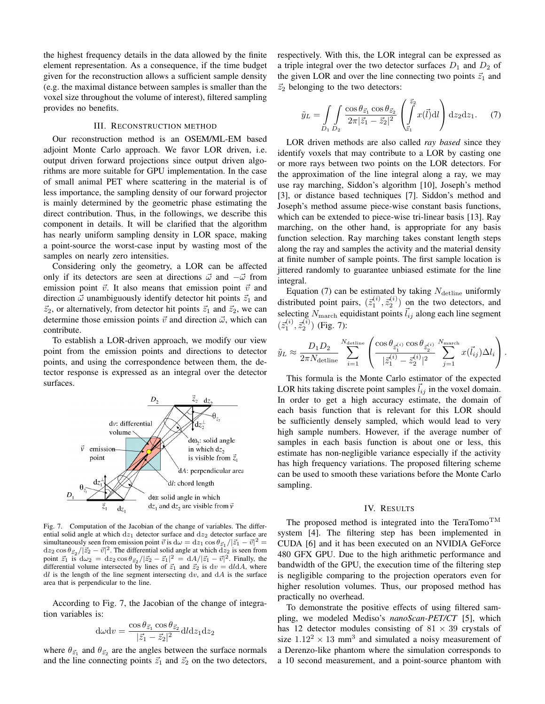the highest frequency details in the data allowed by the finite element representation. As a consequence, if the time budget given for the reconstruction allows a sufficient sample density (e.g. the maximal distance between samples is smaller than the voxel size throughout the volume of interest), filtered sampling provides no benefits.

### III. RECONSTRUCTION METHOD

Our reconstruction method is an OSEM/ML-EM based adjoint Monte Carlo approach. We favor LOR driven, i.e. output driven forward projections since output driven algorithms are more suitable for GPU implementation. In the case of small animal PET where scattering in the material is of less importance, the sampling density of our forward projector is mainly determined by the geometric phase estimating the direct contribution. Thus, in the followings, we describe this component in details. It will be clarified that the algorithm has nearly uniform sampling density in LOR space, making a point-source the worst-case input by wasting most of the samples on nearly zero intensities.

Considering only the geometry, a LOR can be affected only if its detectors are seen at directions *⃗ω* and *−⃗ω* from emission point  $\vec{v}$ . It also means that emission point  $\vec{v}$  and direction  $\vec{\omega}$  unambiguously identify detector hit points  $\vec{z}_1$  and  $\vec{z}_2$ , or alternatively, from detector hit points  $\vec{z}_1$  and  $\vec{z}_2$ , we can determine those emission points  $\vec{v}$  and direction  $\vec{\omega}$ , which can contribute.

To establish a LOR-driven approach, we modify our view point from the emission points and directions to detector points, and using the correspondence between them, the detector response is expressed as an integral over the detector surfaces.



Fig. 7. Computation of the Jacobian of the change of variables. The differential solid angle at which  $dz_1$  detector surface and  $dz_2$  detector surface are simultaneously seen from emission point  $\vec{v}$  is  $d\omega = dz_1 \cos \theta_{\vec{z}_1}/|\vec{z}_1 - \vec{v}|^2 =$  $dz_2 \cos \theta_{\vec{z}_2}/|\vec{z}_2 - \vec{v}|^2$ . The differential solid angle at which  $dz_2$  is seen from point  $\vec{z_1}$  is  $d\omega_2 = dz_2 \cos \theta_{\vec{z_2}} / |\vec{z_2} - \vec{z_1}|^2 = d/|\vec{z_1} - \vec{v}|^2$ . Finally, the differential volume intersected by lines of  $\vec{z}_1$  and  $\vec{z}_2$  is  $dv = d\hat{d}A$ , where  $dl$  is the length of the line segment intersecting  $dv$ , and  $dA$  is the surface area that is perpendicular to the line.

According to Fig. 7, the Jacobian of the change of integration variables is:

$$
d\omega dv = \frac{\cos \theta_{\vec{z}_1} \cos \theta_{\vec{z}_2}}{|\vec{z}_1 - \vec{z}_2|^2} dldz_1 dz_2
$$

where  $\theta_{\vec{z}_1}$  and  $\theta_{\vec{z}_2}$  are the angles between the surface normals and the line connecting points  $\vec{z}_1$  and  $\vec{z}_2$  on the two detectors, respectively. With this, the LOR integral can be expressed as a triple integral over the two detector surfaces  $D_1$  and  $D_2$  of the given LOR and over the line connecting two points  $\vec{z}_1$  and  $\vec{z}_2$  belonging to the two detectors:

$$
\tilde{y}_L = \int_{D_1} \int_{D_2} \frac{\cos \theta_{\vec{z}_1} \cos \theta_{\vec{z}_2}}{2\pi |\vec{z}_1 - \vec{z}_2|^2} \left( \int_{\vec{z}_1}^{\vec{z}_2} x(\vec{l}) \, \mathrm{d} \vec{l} \right) \mathrm{d} z_2 \mathrm{d} z_1. \tag{7}
$$

LOR driven methods are also called *ray based* since they identify voxels that may contribute to a LOR by casting one or more rays between two points on the LOR detectors. For the approximation of the line integral along a ray, we may use ray marching, Siddon's algorithm [10], Joseph's method [3], or distance based techniques [7]. Siddon's method and Joseph's method assume piece-wise constant basis functions, which can be extended to piece-wise tri-linear basis [13]. Ray marching, on the other hand, is appropriate for any basis function selection. Ray marching takes constant length steps along the ray and samples the activity and the material density at finite number of sample points. The first sample location is jittered randomly to guarantee unbiased estimate for the line integral.

Equation (7) can be estimated by taking  $N_{\text{detline}}$  uniformly distributed point pairs,  $(\bar{z}_1^{(i)}, \bar{z}_2^{(i)})$  on the two detectors, and selecting  $N_{\text{march}}$  equidistant points  $\vec{l}_{ij}$  along each line segment  $(\vec{z}_1^{(i)}, \vec{z}_2^{(i)})$  (Fig. 7):

$$
\tilde{y}_L \approx \frac{D_1 D_2}{2\pi N_{\text{detline}}} \sum_{i=1}^{N_{\text{detline}}} \left( \frac{\cos \theta_{\tilde{z}_1^{(i)}} \cos \theta_{\tilde{z}_2^{(i)}}}{|\tilde{z}_1^{(i)} - \tilde{z}_2^{(i)}|^2} \sum_{j=1}^{N_{\text{march}}} x(\vec{l}_{ij}) \Delta l_i \right).
$$

This formula is the Monte Carlo estimator of the expected LOR hits taking discrete point samples  $l_{ij}$  in the voxel domain. In order to get a high accuracy estimate, the domain of each basis function that is relevant for this LOR should be sufficiently densely sampled, which would lead to very high sample numbers. However, if the average number of samples in each basis function is about one or less, this estimate has non-negligible variance especially if the activity has high frequency variations. The proposed filtering scheme can be used to smooth these variations before the Monte Carlo sampling.

#### IV. RESULTS

The proposed method is integrated into the TeraTomo<sup>TM</sup> system [4]. The filtering step has been implemented in CUDA [6] and it has been executed on an NVIDIA GeForce 480 GFX GPU. Due to the high arithmetic performance and bandwidth of the GPU, the execution time of the filtering step is negligible comparing to the projection operators even for higher resolution volumes. Thus, our proposed method has practically no overhead.

To demonstrate the positive effects of using filtered sampling, we modeled Mediso's *nanoScan-PET/CT* [5], which has 12 detector modules consisting of  $81 \times 39$  crystals of size  $1.12^2 \times 13$  mm<sup>3</sup> and simulated a noisy measurement of a Derenzo-like phantom where the simulation corresponds to a 10 second measurement, and a point-source phantom with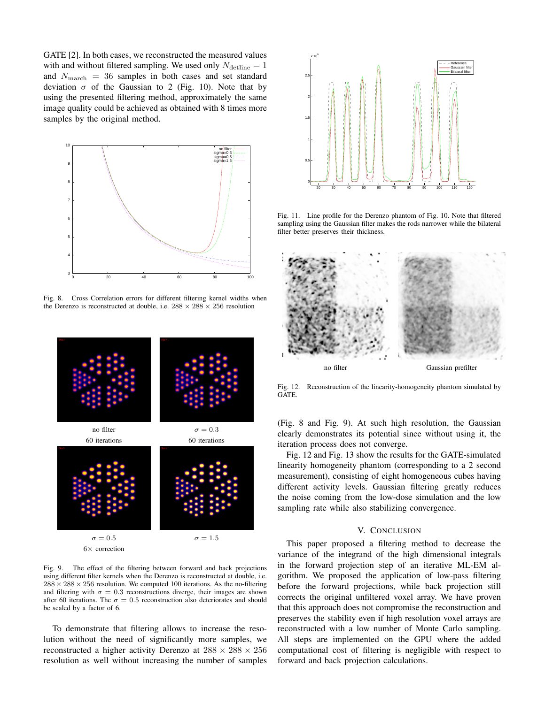GATE [2]. In both cases, we reconstructed the measured values with and without filtered sampling. We used only  $N_{\text{detline}} = 1$ and *N*march = 36 samples in both cases and set standard deviation  $\sigma$  of the Gaussian to 2 (Fig. 10). Note that by using the presented filtering method, approximately the same image quality could be achieved as obtained with 8 times more samples by the original method.



Fig. 8. Cross Correlation errors for different filtering kernel widths when the Derenzo is reconstructed at double, i.e.  $288 \times 288 \times 256$  resolution



Fig. 9. The effect of the filtering between forward and back projections using different filter kernels when the Derenzo is reconstructed at double, i.e.  $288 \times 288 \times 256$  resolution. We computed 100 iterations. As the no-filtering and filtering with  $\sigma = 0.3$  reconstructions diverge, their images are shown after 60 iterations. The  $\sigma = 0.5$  reconstruction also deteriorates and should be scaled by a factor of 6.

To demonstrate that filtering allows to increase the resolution without the need of significantly more samples, we reconstructed a higher activity Derenzo at  $288 \times 288 \times 256$ resolution as well without increasing the number of samples



Fig. 11. Line profile for the Derenzo phantom of Fig. 10. Note that filtered sampling using the Gaussian filter makes the rods narrower while the bilateral filter better preserves their thickness.



Fig. 12. Reconstruction of the linearity-homogeneity phantom simulated by GATE.

(Fig. 8 and Fig. 9). At such high resolution, the Gaussian clearly demonstrates its potential since without using it, the iteration process does not converge.

Fig. 12 and Fig. 13 show the results for the GATE-simulated linearity homogeneity phantom (corresponding to a 2 second measurement), consisting of eight homogeneous cubes having different activity levels. Gaussian filtering greatly reduces the noise coming from the low-dose simulation and the low sampling rate while also stabilizing convergence.

## V. CONCLUSION

This paper proposed a filtering method to decrease the variance of the integrand of the high dimensional integrals in the forward projection step of an iterative ML-EM algorithm. We proposed the application of low-pass filtering before the forward projections, while back projection still corrects the original unfiltered voxel array. We have proven that this approach does not compromise the reconstruction and preserves the stability even if high resolution voxel arrays are reconstructed with a low number of Monte Carlo sampling. All steps are implemented on the GPU where the added computational cost of filtering is negligible with respect to forward and back projection calculations.